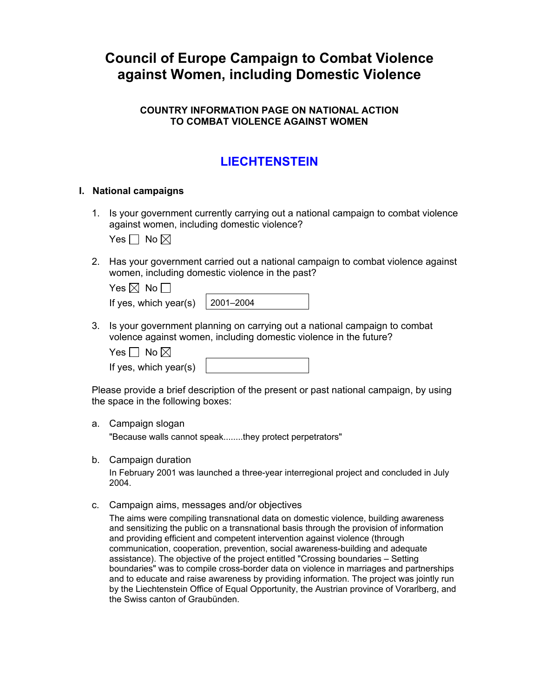# **Council of Europe Campaign to Combat Violence against Women, including Domestic Violence**

# **COUNTRY INFORMATION PAGE ON NATIONAL ACTION TO COMBAT VIOLENCE AGAINST WOMEN**

# **LIECHTENSTEIN**

### **I. National campaigns**

1. Is your government currently carrying out a national campaign to combat violence against women, including domestic violence?

Yes  $\Box$  No  $\boxtimes$ 

2. Has your government carried out a national campaign to combat violence against women, including domestic violence in the past?

| Yes $\boxtimes$ No $\Box$               |  |  |  |  |
|-----------------------------------------|--|--|--|--|
| If yes, which year(s) $\vert$ 2001–2004 |  |  |  |  |

3. Is your government planning on carrying out a national campaign to combat volence against women, including domestic violence in the future?

Yes  $\Box$  No  $\boxtimes$ 

If yes, which year(s)

Please provide a brief description of the present or past national campaign, by using the space in the following boxes:

# a. Campaign slogan

"Because walls cannot speak........they protect perpetrators"

b. Campaign duration

In February 2001 was launched a three-year interregional project and concluded in July 2004.

c. Campaign aims, messages and/or objectives

The aims were compiling transnational data on domestic violence, building awareness and sensitizing the public on a transnational basis through the provision of information and providing efficient and competent intervention against violence (through communication, cooperation, prevention, social awareness-building and adequate assistance). The objective of the project entitled "Crossing boundaries – Setting boundaries" was to compile cross-border data on violence in marriages and partnerships and to educate and raise awareness by providing information. The project was jointly run by the Liechtenstein Office of Equal Opportunity, the Austrian province of Vorarlberg, and the Swiss canton of Graubünden.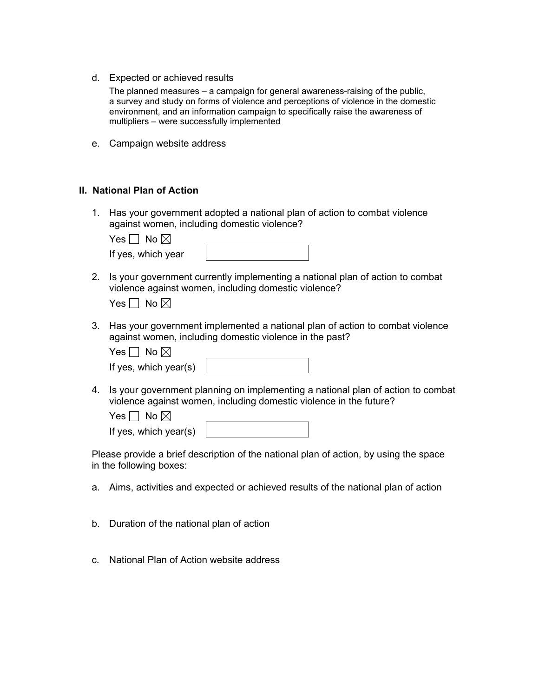d. Expected or achieved results

The planned measures – a campaign for general awareness-raising of the public, a survey and study on forms of violence and perceptions of violence in the domestic environment, and an information campaign to specifically raise the awareness of multipliers – were successfully implemented

e. Campaign website address

#### **II. National Plan of Action**

1. Has your government adopted a national plan of action to combat violence against women, including domestic violence?

Yes  $\Box$  No  $\boxtimes$ 

| If yes, which year |  |
|--------------------|--|
|                    |  |

2. Is your government currently implementing a national plan of action to combat violence against women, including domestic violence?

Yes  $\Box$  No  $\boxtimes$ 

3. Has your government implemented a national plan of action to combat violence against women, including domestic violence in the past?

|  | No $\boxtimes$ |  |
|--|----------------|--|
|--|----------------|--|

4. Is your government planning on implementing a national plan of action to combat violence against women, including domestic violence in the future?

Yes  $\Box$  No  $\boxtimes$ 

If yes, which year(s)

Please provide a brief description of the national plan of action, by using the space in the following boxes:

- a. Aims, activities and expected or achieved results of the national plan of action
- b. Duration of the national plan of action
- c. National Plan of Action website address